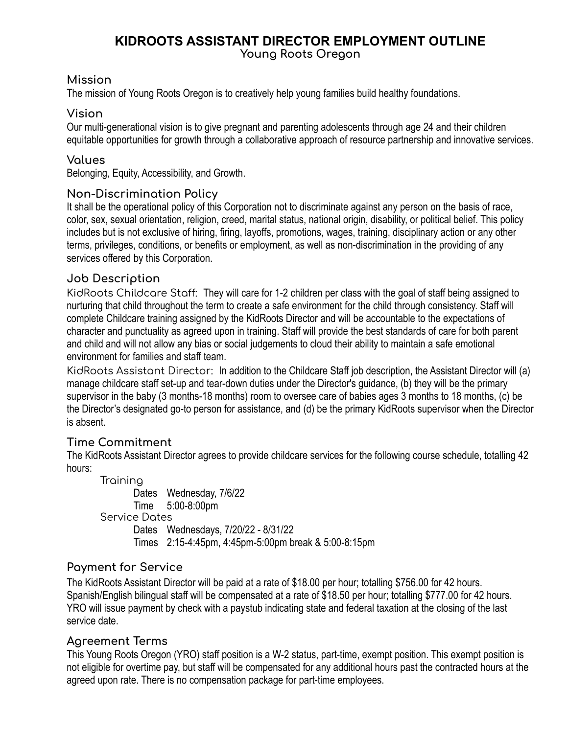# **KIDROOTS ASSISTANT DIRECTOR EMPLOYMENT OUTLINE**

**Young Roots Oregon**

### **Mission**

The mission of Young Roots Oregon is to creatively help young families build healthy foundations.

## **Vision**

Our multi-generational vision is to give pregnant and parenting adolescents through age 24 and their children equitable opportunities for growth through a collaborative approach of resource partnership and innovative services.

## **Values**

Belonging, Equity, Accessibility, and Growth.

## **Non-Discrimination Policy**

It shall be the operational policy of this Corporation not to discriminate against any person on the basis of race, color, sex, sexual orientation, religion, creed, marital status, national origin, disability, or political belief. This policy includes but is not exclusive of hiring, firing, layoffs, promotions, wages, training, disciplinary action or any other terms, privileges, conditions, or benefits or employment, as well as non-discrimination in the providing of any services offered by this Corporation.

## **Job Description**

KidRoots Childcare Staff: They will care for 1-2 children per class with the goal of staff being assigned to nurturing that child throughout the term to create a safe environment for the child through consistency. Staff will complete Childcare training assigned by the KidRoots Director and will be accountable to the expectations of character and punctuality as agreed upon in training. Staff will provide the best standards of care for both parent and child and will not allow any bias or social judgements to cloud their ability to maintain a safe emotional environment for families and staff team.

KidRoots Assistant Director: In addition to the Childcare Staff job description, the Assistant Director will (a) manage childcare staff set-up and tear-down duties under the Director's guidance, (b) they will be the primary supervisor in the baby (3 months-18 months) room to oversee care of babies ages 3 months to 18 months, (c) be the Director's designated go-to person for assistance, and (d) be the primary KidRoots supervisor when the Director is absent.

## **Time Commitment**

The KidRoots Assistant Director agrees to provide childcare services for the following course schedule, totalling 42 hours:

Training Dates Wednesday, 7/6/22 Time 5:00-8:00pm Service Dates Dates Wednesdays, 7/20/22 - 8/31/22 Times 2:15-4:45pm, 4:45pm-5:00pm break & 5:00-8:15pm

## **Payment for Service**

The KidRoots Assistant Director will be paid at a rate of \$18.00 per hour; totalling \$756.00 for 42 hours. Spanish/English bilingual staff will be compensated at a rate of \$18.50 per hour; totalling \$777.00 for 42 hours. YRO will issue payment by check with a paystub indicating state and federal taxation at the closing of the last service date.

## **Agreement Terms**

This Young Roots Oregon (YRO) staff position is a W-2 status, part-time, exempt position. This exempt position is not eligible for overtime pay, but staff will be compensated for any additional hours past the contracted hours at the agreed upon rate. There is no compensation package for part-time employees.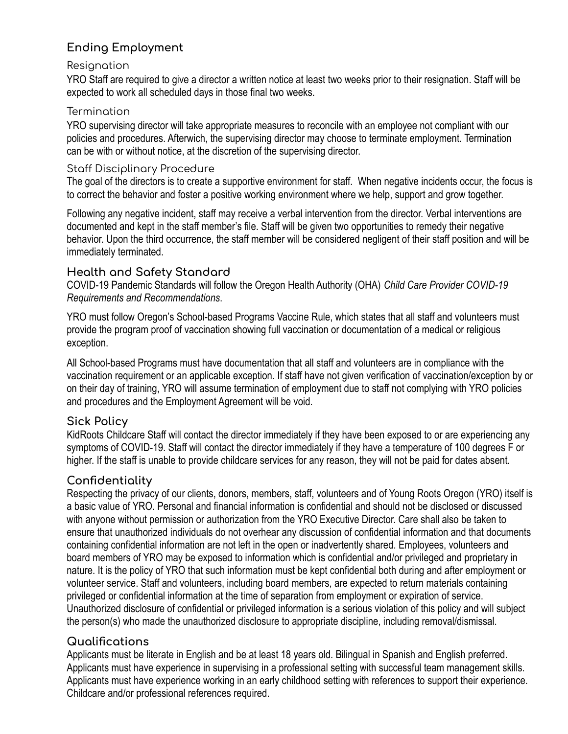# **Ending Employment**

#### Resignation

YRO Staff are required to give a director a written notice at least two weeks prior to their resignation. Staff will be expected to work all scheduled days in those final two weeks.

#### **Termination**

YRO supervising director will take appropriate measures to reconcile with an employee not compliant with our policies and procedures. Afterwich, the supervising director may choose to terminate employment. Termination can be with or without notice, at the discretion of the supervising director.

### Staff Disciplinary Procedure

The goal of the directors is to create a supportive environment for staff. When negative incidents occur, the focus is to correct the behavior and foster a positive working environment where we help, support and grow together.

Following any negative incident, staff may receive a verbal intervention from the director. Verbal interventions are documented and kept in the staff member's file. Staff will be given two opportunities to remedy their negative behavior. Upon the third occurrence, the staff member will be considered negligent of their staff position and will be immediately terminated.

## **Health and Safety Standard**

COVID-19 Pandemic Standards will follow the Oregon Health Authority (OHA) *Child Care Provider COVID-19 Requirements and Recommendations*.

YRO must follow Oregon's School-based Programs Vaccine Rule, which states that all staff and volunteers must provide the program proof of vaccination showing full vaccination or documentation of a medical or religious exception.

All School-based Programs must have documentation that all staff and volunteers are in compliance with the vaccination requirement or an applicable exception. If staff have not given verification of vaccination/exception by or on their day of training, YRO will assume termination of employment due to staff not complying with YRO policies and procedures and the Employment Agreement will be void.

### **Sick Policy**

KidRoots Childcare Staff will contact the director immediately if they have been exposed to or are experiencing any symptoms of COVID-19. Staff will contact the director immediately if they have a temperature of 100 degrees F or higher. If the staff is unable to provide childcare services for any reason, they will not be paid for dates absent.

## **Confidentiality**

Respecting the privacy of our clients, donors, members, staff, volunteers and of Young Roots Oregon (YRO) itself is a basic value of YRO. Personal and financial information is confidential and should not be disclosed or discussed with anyone without permission or authorization from the YRO Executive Director. Care shall also be taken to ensure that unauthorized individuals do not overhear any discussion of confidential information and that documents containing confidential information are not left in the open or inadvertently shared. Employees, volunteers and board members of YRO may be exposed to information which is confidential and/or privileged and proprietary in nature. It is the policy of YRO that such information must be kept confidential both during and after employment or volunteer service. Staff and volunteers, including board members, are expected to return materials containing privileged or confidential information at the time of separation from employment or expiration of service. Unauthorized disclosure of confidential or privileged information is a serious violation of this policy and will subject the person(s) who made the unauthorized disclosure to appropriate discipline, including removal/dismissal.

## **Qualifications**

Applicants must be literate in English and be at least 18 years old. Bilingual in Spanish and English preferred. Applicants must have experience in supervising in a professional setting with successful team management skills. Applicants must have experience working in an early childhood setting with references to support their experience. Childcare and/or professional references required.